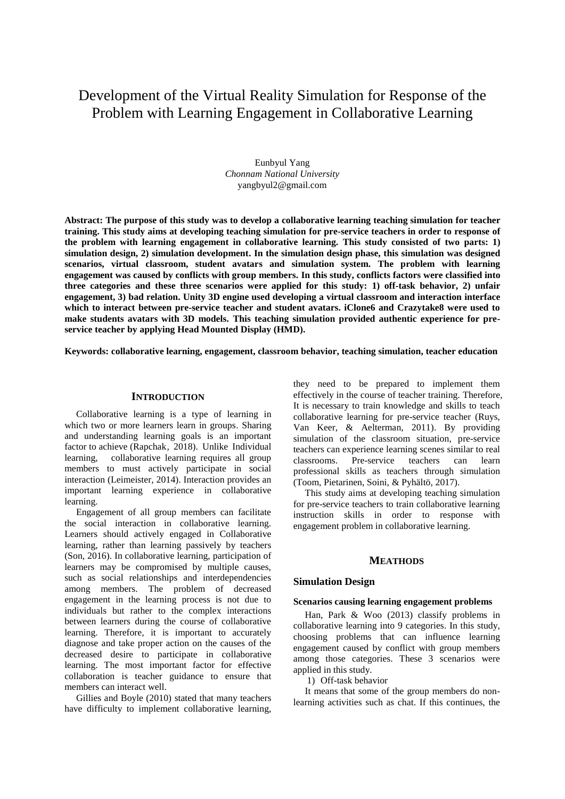# Development of the Virtual Reality Simulation for Response of the Problem with Learning Engagement in Collaborative Learning

Eunbyul Yang *Chonnam National University* yangbyul2@gmail.com

**Abstract: The purpose of this study was to develop a collaborative learning teaching simulation for teacher training. This study aims at developing teaching simulation for pre-service teachers in order to response of the problem with learning engagement in collaborative learning. This study consisted of two parts: 1) simulation design, 2) simulation development. In the simulation design phase, this simulation was designed scenarios, virtual classroom, student avatars and simulation system. The problem with learning engagement was caused by conflicts with group members. In this study, conflicts factors were classified into three categories and these three scenarios were applied for this study: 1) off-task behavior, 2) unfair engagement, 3) bad relation. Unity 3D engine used developing a virtual classroom and interaction interface which to interact between pre-service teacher and student avatars. iClone6 and Crazytake8 were used to make students avatars with 3D models. This teaching simulation provided authentic experience for preservice teacher by applying Head Mounted Display (HMD).**

**Keywords: collaborative learning, engagement, classroom behavior, teaching simulation, teacher education**

#### **INTRODUCTION**

Collaborative learning is a type of learning in which two or more learners learn in groups. Sharing and understanding learning goals is an important factor to achieve (Rapchak, 2018). Unlike Individual learning, collaborative learning requires all group members to must actively participate in social interaction (Leimeister, 2014). Interaction provides an important learning experience in collaborative learning.

Engagement of all group members can facilitate the social interaction in collaborative learning. Learners should actively engaged in Collaborative learning, rather than learning passively by teachers (Son, 2016). In collaborative learning, participation of learners may be compromised by multiple causes, such as social relationships and interdependencies among members. The problem of decreased engagement in the learning process is not due to individuals but rather to the complex interactions between learners during the course of collaborative learning. Therefore, it is important to accurately diagnose and take proper action on the causes of the decreased desire to participate in collaborative learning. The most important factor for effective collaboration is teacher guidance to ensure that members can interact well.

Gillies and Boyle (2010) stated that many teachers have difficulty to implement collaborative learning,

they need to be prepared to implement them effectively in the course of teacher training. Therefore, It is necessary to train knowledge and skills to teach collaborative learning for pre-service teacher (Ruys, Van Keer, & Aelterman, 2011). By providing simulation of the classroom situation, pre-service teachers can experience learning scenes similar to real classrooms. Pre-service teachers can learn professional skills as teachers through simulation (Toom, Pietarinen, Soini, & Pyhältö, 2017).

This study aims at developing teaching simulation for pre-service teachers to train collaborative learning instruction skills in order to response with engagement problem in collaborative learning.

# **MEATHODS**

#### **Simulation Design**

#### **Scenarios causing learning engagement problems**

Han, Park & Woo (2013) classify problems in collaborative learning into 9 categories. In this study, choosing problems that can influence learning engagement caused by conflict with group members among those categories. These 3 scenarios were applied in this study.

1) Off-task behavior

It means that some of the group members do nonlearning activities such as chat. If this continues, the